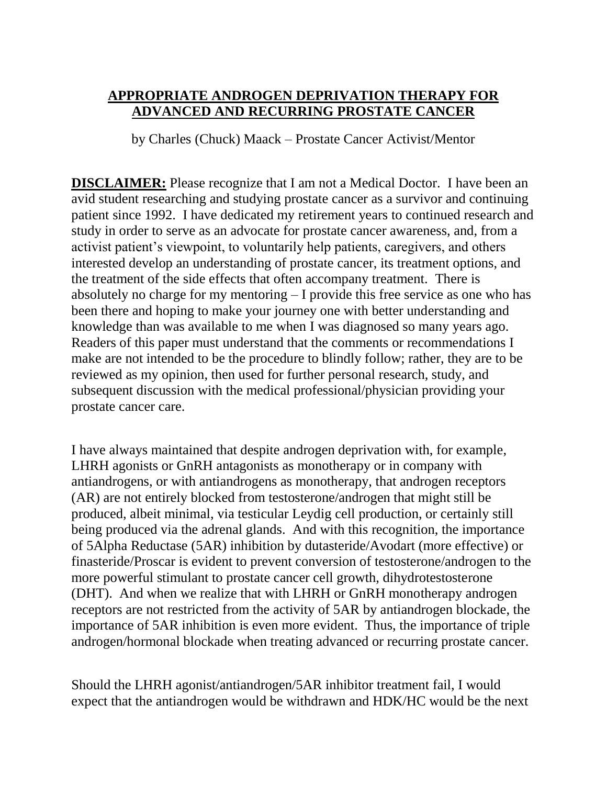## **APPROPRIATE ANDROGEN DEPRIVATION THERAPY FOR ADVANCED AND RECURRING PROSTATE CANCER**

by Charles (Chuck) Maack – Prostate Cancer Activist/Mentor

**DISCLAIMER:** Please recognize that I am not a Medical Doctor. I have been an avid student researching and studying prostate cancer as a survivor and continuing patient since 1992. I have dedicated my retirement years to continued research and study in order to serve as an advocate for prostate cancer awareness, and, from a activist patient's viewpoint, to voluntarily help patients, caregivers, and others interested develop an understanding of prostate cancer, its treatment options, and the treatment of the side effects that often accompany treatment. There is absolutely no charge for my mentoring – I provide this free service as one who has been there and hoping to make your journey one with better understanding and knowledge than was available to me when I was diagnosed so many years ago. Readers of this paper must understand that the comments or recommendations I make are not intended to be the procedure to blindly follow; rather, they are to be reviewed as my opinion, then used for further personal research, study, and subsequent discussion with the medical professional/physician providing your prostate cancer care.

I have always maintained that despite androgen deprivation with, for example, LHRH agonists or GnRH antagonists as monotherapy or in company with antiandrogens, or with antiandrogens as monotherapy, that androgen receptors (AR) are not entirely blocked from testosterone/androgen that might still be produced, albeit minimal, via testicular Leydig cell production, or certainly still being produced via the adrenal glands. And with this recognition, the importance of 5Alpha Reductase (5AR) inhibition by dutasteride/Avodart (more effective) or finasteride/Proscar is evident to prevent conversion of testosterone/androgen to the more powerful stimulant to prostate cancer cell growth, dihydrotestosterone (DHT). And when we realize that with LHRH or GnRH monotherapy androgen receptors are not restricted from the activity of 5AR by antiandrogen blockade, the importance of 5AR inhibition is even more evident. Thus, the importance of triple androgen/hormonal blockade when treating advanced or recurring prostate cancer.

Should the LHRH agonist/antiandrogen/5AR inhibitor treatment fail, I would expect that the antiandrogen would be withdrawn and HDK/HC would be the next